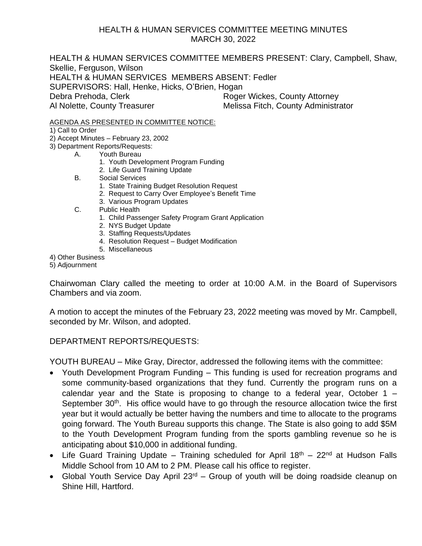## HEALTH & HUMAN SERVICES COMMITTEE MEETING MINUTES MARCH 30, 2022

HEALTH & HUMAN SERVICES COMMITTEE MEMBERS PRESENT: Clary, Campbell, Shaw, Skellie, Ferguson, Wilson HEALTH & HUMAN SERVICES MEMBERS ABSENT: Fedler SUPERVISORS: Hall, Henke, Hicks, O'Brien, Hogan Debra Prehoda, Clerk **Roger Wickes, County Attorney** Al Nolette, County Treasurer Melissa Fitch, County Administrator

AGENDA AS PRESENTED IN COMMITTEE NOTICE:

1) Call to Order

- 2) Accept Minutes February 23, 2002
- 3) Department Reports/Requests:
	- A. Youth Bureau
		- 1. Youth Development Program Funding
		- 2. Life Guard Training Update
		- B. Social Services
			- 1. State Training Budget Resolution Request
			- 2. Request to Carry Over Employee's Benefit Time
			- 3. Various Program Updates
		- C. Public Health
			- 1. Child Passenger Safety Program Grant Application
			- 2. NYS Budget Update
			- 3. Staffing Requests/Updates
			- 4. Resolution Request Budget Modification
			- 5. Miscellaneous

4) Other Business

5) Adjournment

Chairwoman Clary called the meeting to order at 10:00 A.M. in the Board of Supervisors Chambers and via zoom.

A motion to accept the minutes of the February 23, 2022 meeting was moved by Mr. Campbell, seconded by Mr. Wilson, and adopted.

DEPARTMENT REPORTS/REQUESTS:

YOUTH BUREAU – Mike Gray, Director, addressed the following items with the committee:

- Youth Development Program Funding This funding is used for recreation programs and some community-based organizations that they fund. Currently the program runs on a calendar year and the State is proposing to change to a federal year, October  $1 -$ September 30<sup>th</sup>. His office would have to go through the resource allocation twice the first year but it would actually be better having the numbers and time to allocate to the programs going forward. The Youth Bureau supports this change. The State is also going to add \$5M to the Youth Development Program funding from the sports gambling revenue so he is anticipating about \$10,000 in additional funding.
- Life Guard Training Update Training scheduled for April  $18<sup>th</sup>$  22<sup>nd</sup> at Hudson Falls Middle School from 10 AM to 2 PM. Please call his office to register.
- Global Youth Service Day April  $23<sup>rd</sup>$  Group of youth will be doing roadside cleanup on Shine Hill, Hartford.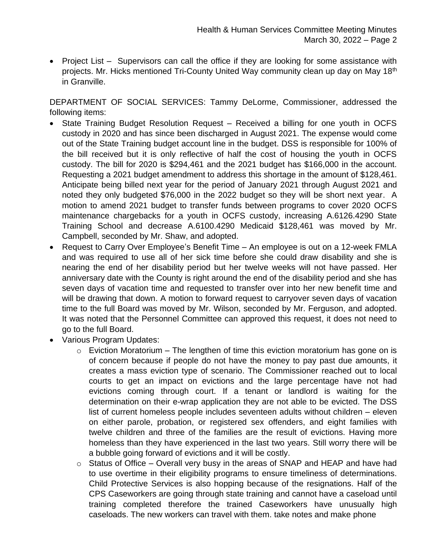• Project List – Supervisors can call the office if they are looking for some assistance with projects. Mr. Hicks mentioned Tri-County United Way community clean up day on May 18<sup>th</sup> in Granville.

DEPARTMENT OF SOCIAL SERVICES: Tammy DeLorme, Commissioner, addressed the following items:

- State Training Budget Resolution Request Received a billing for one youth in OCFS custody in 2020 and has since been discharged in August 2021. The expense would come out of the State Training budget account line in the budget. DSS is responsible for 100% of the bill received but it is only reflective of half the cost of housing the youth in OCFS custody. The bill for 2020 is \$294,461 and the 2021 budget has \$166,000 in the account. Requesting a 2021 budget amendment to address this shortage in the amount of \$128,461. Anticipate being billed next year for the period of January 2021 through August 2021 and noted they only budgeted \$76,000 in the 2022 budget so they will be short next year. A motion to amend 2021 budget to transfer funds between programs to cover 2020 OCFS maintenance chargebacks for a youth in OCFS custody, increasing A.6126.4290 State Training School and decrease A.6100.4290 Medicaid \$128,461 was moved by Mr. Campbell, seconded by Mr. Shaw, and adopted.
- Request to Carry Over Employee's Benefit Time An employee is out on a 12-week FMLA and was required to use all of her sick time before she could draw disability and she is nearing the end of her disability period but her twelve weeks will not have passed. Her anniversary date with the County is right around the end of the disability period and she has seven days of vacation time and requested to transfer over into her new benefit time and will be drawing that down. A motion to forward request to carryover seven days of vacation time to the full Board was moved by Mr. Wilson, seconded by Mr. Ferguson, and adopted. It was noted that the Personnel Committee can approved this request, it does not need to go to the full Board.
- Various Program Updates:
	- $\circ$  Eviction Moratorium The lengthen of time this eviction moratorium has gone on is of concern because if people do not have the money to pay past due amounts, it creates a mass eviction type of scenario. The Commissioner reached out to local courts to get an impact on evictions and the large percentage have not had evictions coming through court. If a tenant or landlord is waiting for the determination on their e-wrap application they are not able to be evicted. The DSS list of current homeless people includes seventeen adults without children – eleven on either parole, probation, or registered sex offenders, and eight families with twelve children and three of the families are the result of evictions. Having more homeless than they have experienced in the last two years. Still worry there will be a bubble going forward of evictions and it will be costly.
	- $\circ$  Status of Office Overall very busy in the areas of SNAP and HEAP and have had to use overtime in their eligibility programs to ensure timeliness of determinations. Child Protective Services is also hopping because of the resignations. Half of the CPS Caseworkers are going through state training and cannot have a caseload until training completed therefore the trained Caseworkers have unusually high caseloads. The new workers can travel with them. take notes and make phone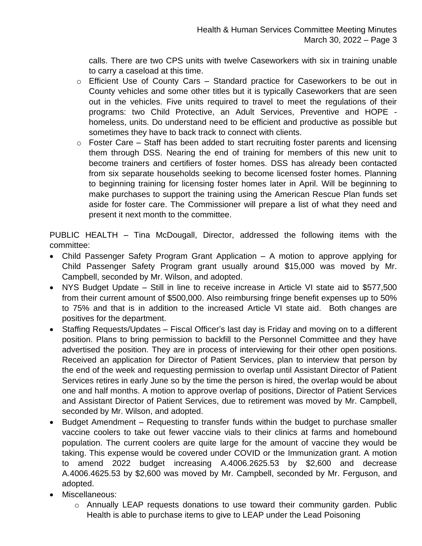calls. There are two CPS units with twelve Caseworkers with six in training unable to carry a caseload at this time.

- o Efficient Use of County Cars Standard practice for Caseworkers to be out in County vehicles and some other titles but it is typically Caseworkers that are seen out in the vehicles. Five units required to travel to meet the regulations of their programs: two Child Protective, an Adult Services, Preventive and HOPE homeless, units. Do understand need to be efficient and productive as possible but sometimes they have to back track to connect with clients.
- $\circ$  Foster Care Staff has been added to start recruiting foster parents and licensing them through DSS. Nearing the end of training for members of this new unit to become trainers and certifiers of foster homes. DSS has already been contacted from six separate households seeking to become licensed foster homes. Planning to beginning training for licensing foster homes later in April. Will be beginning to make purchases to support the training using the American Rescue Plan funds set aside for foster care. The Commissioner will prepare a list of what they need and present it next month to the committee.

PUBLIC HEALTH – Tina McDougall, Director, addressed the following items with the committee:

- Child Passenger Safety Program Grant Application A motion to approve applying for Child Passenger Safety Program grant usually around \$15,000 was moved by Mr. Campbell, seconded by Mr. Wilson, and adopted.
- NYS Budget Update Still in line to receive increase in Article VI state aid to \$577,500 from their current amount of \$500,000. Also reimbursing fringe benefit expenses up to 50% to 75% and that is in addition to the increased Article VI state aid. Both changes are positives for the department.
- Staffing Requests/Updates Fiscal Officer's last day is Friday and moving on to a different position. Plans to bring permission to backfill to the Personnel Committee and they have advertised the position. They are in process of interviewing for their other open positions. Received an application for Director of Patient Services, plan to interview that person by the end of the week and requesting permission to overlap until Assistant Director of Patient Services retires in early June so by the time the person is hired, the overlap would be about one and half months. A motion to approve overlap of positions, Director of Patient Services and Assistant Director of Patient Services, due to retirement was moved by Mr. Campbell, seconded by Mr. Wilson, and adopted.
- Budget Amendment Requesting to transfer funds within the budget to purchase smaller vaccine coolers to take out fewer vaccine vials to their clinics at farms and homebound population. The current coolers are quite large for the amount of vaccine they would be taking. This expense would be covered under COVID or the Immunization grant. A motion to amend 2022 budget increasing A.4006.2625.53 by \$2,600 and decrease A.4006.4625.53 by \$2,600 was moved by Mr. Campbell, seconded by Mr. Ferguson, and adopted.
- Miscellaneous:
	- o Annually LEAP requests donations to use toward their community garden. Public Health is able to purchase items to give to LEAP under the Lead Poisoning